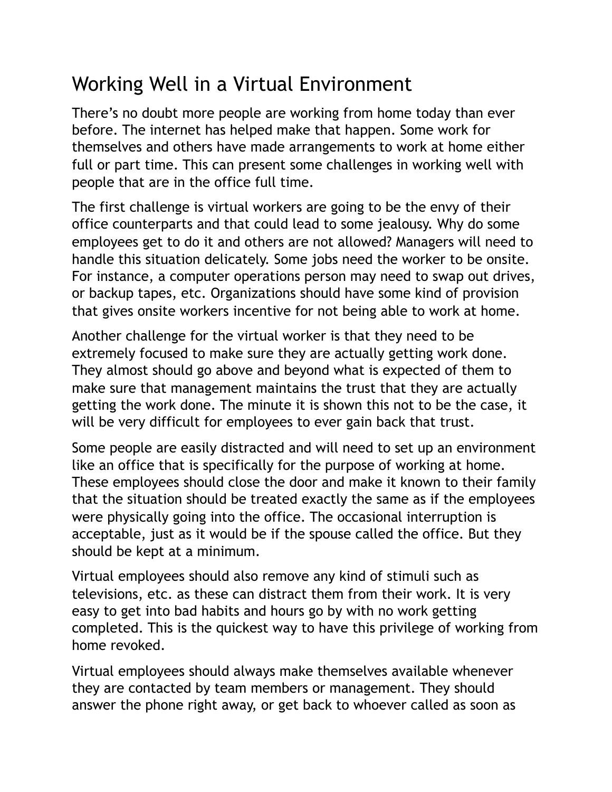## Working Well in a Virtual Environment

There's no doubt more people are working from home today than ever before. The internet has helped make that happen. Some work for themselves and others have made arrangements to work at home either full or part time. This can present some challenges in working well with people that are in the office full time.

The first challenge is virtual workers are going to be the envy of their office counterparts and that could lead to some jealousy. Why do some employees get to do it and others are not allowed? Managers will need to handle this situation delicately. Some jobs need the worker to be onsite. For instance, a computer operations person may need to swap out drives, or backup tapes, etc. Organizations should have some kind of provision that gives onsite workers incentive for not being able to work at home.

Another challenge for the virtual worker is that they need to be extremely focused to make sure they are actually getting work done. They almost should go above and beyond what is expected of them to make sure that management maintains the trust that they are actually getting the work done. The minute it is shown this not to be the case, it will be very difficult for employees to ever gain back that trust.

Some people are easily distracted and will need to set up an environment like an office that is specifically for the purpose of working at home. These employees should close the door and make it known to their family that the situation should be treated exactly the same as if the employees were physically going into the office. The occasional interruption is acceptable, just as it would be if the spouse called the office. But they should be kept at a minimum.

Virtual employees should also remove any kind of stimuli such as televisions, etc. as these can distract them from their work. It is very easy to get into bad habits and hours go by with no work getting completed. This is the quickest way to have this privilege of working from home revoked.

Virtual employees should always make themselves available whenever they are contacted by team members or management. They should answer the phone right away, or get back to whoever called as soon as